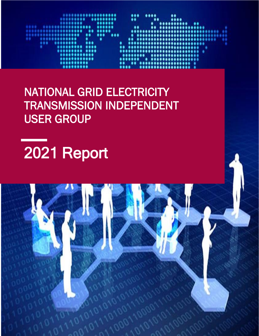

NATIONAL GRID ELECTRICITY TRANSMISSION INDEPENDENT USER GROUP

2021 Report

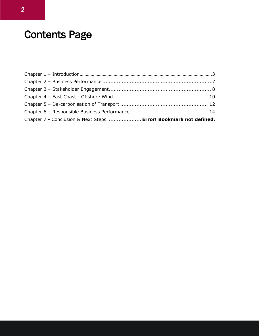# Contents Page

| Chapter 7 - Conclusion & Next Steps  Error! Bookmark not defined. |  |
|-------------------------------------------------------------------|--|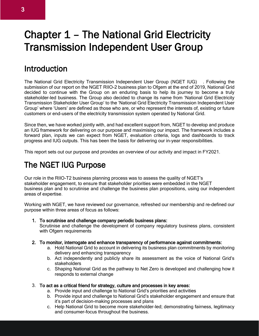## Chapter 1 – The National Grid Electricity Transmission Independent User Group

### **Introduction**

The National Grid Electricity Transmission Independent User Group (NGET IUG) . Following the submission of our report on the NGET RIIO-2 business plan to Ofgem at the end of 2019, National Grid decided to continue with the Group on an enduring basis to help its journey to become a truly stakeholder-led business. The Group also decided to change its name from 'National Grid Electricity Transmission Stakeholder User Group' to the 'National Grid Electricity Transmission Independent User Group' where 'Users' are defined as those who are, or who represent the interests of, existing or future customers or end-users of the electricity transmission system operated by National Grid.

Since then, we have worked jointly with, and had excellent support from, NGET to develop and produce an IUG framework for delivering on our purpose and maximising our impact. The framework includes a forward plan, inputs we can expect from NGET, evaluation criteria, logs and dashboards to track progress and IUG outputs. This has been the basis for delivering our in-year responsibilities.

This report sets out our purpose and provides an overview of our activity and impact in FY2021.

### The NGET IUG Purpose

Our role in the RIIO-T2 business planning process was to assess the quality of NGET's stakeholder engagement, to ensure that stakeholder priorities were embedded in the NGET business plan and to scrutinise and challenge the business plan propositions, using our independent areas of expertise.

Working with NGET, we have reviewed our governance, refreshed our membership and re-defined our purpose within three areas of focus as follows:

1. To scrutinise and challenge company periodic business plans:

Scrutinise and challenge the development of company regulatory business plans, consistent with Ofgem requirements

- 2. To monitor, interrogate and enhance transparency of performance against commitments:
	- a. Hold National Grid to account in delivering its business plan commitments by monitoring delivery and enhancing transparency
	- b. Act independently and publicly share its assessment as the voice of National Grid's stakeholders
	- c. Shaping National Grid as the pathway to Net Zero is developed and challenging how it responds to external change
- 3. To act as a critical friend for strategy, culture and processes in key areas:
	- a. Provide input and challenge to National Grid's priorities and activities
	- b. Provide input and challenge to National Grid's stakeholder engagement and ensure that it's part of decision-making processes and plans
	- c. Help National Grid to become more stakeholder-led; demonstrating fairness, legitimacy and consumer-focus throughout the business.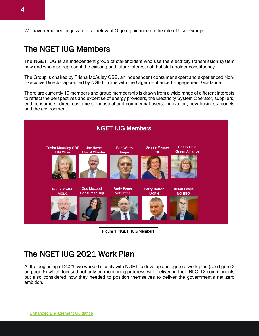We have remained cognizant of all relevant Ofgem guidance on the role of User Groups.

### The NGET IUG Members

The NGET IUG is an independent group of stakeholders who use the electricity transmission system now and who also represent the existing and future interests of that stakeholder constituency.

The Group is chaired by Trisha McAuley OBE, an independent consumer expert and experienced Non-Executive Director appointed by NGET in line with the Ofgem Enhanced Engagement Guidance<sup>1</sup>.

There are currently 10 members and group membership is drawn from a wide range of different interests to reflect the perspectives and expertise of energy providers, the Electricity System Operator, suppliers, end consumers, direct customers, industrial and commercial users, innovation, new business models and the environment.



### The NGET IUG 2021 Work Plan

At the beginning of 2021, we worked closely with NGET to develop and agree a work plan (see figure 2 on page 5) which focused not only on monitoring progress with delivering their RIIO-T2 commitments but also considered how they needed to position themselves to deliver the government's net zero ambition.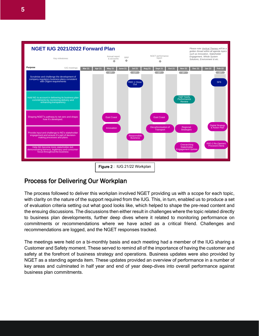

#### Process for Delivering Our Workplan

The process followed to deliver this workplan involved NGET providing us with a scope for each topic, with clarity on the nature of the support required from the IUG. This, in turn, enabled us to produce a set of evaluation criteria setting out what good looks like, which helped to shape the pre-read content and the ensuing discussions. The discussions then either result in challenges where the topic related directly to business plan developments, further deep dives where it related to monitoring performance on commitments or recommendations where we have acted as a critical friend. Challenges and recommendations are logged, and the NGET responses tracked.

The meetings were held on a bi-monthly basis and each meeting had a member of the IUG sharing a Customer and Safety moment. These served to remind all of the importance of having the customer and safety at the forefront of business strategy and operations. Business updates were also provided by NGET as a standing agenda item. These updates provided an overview of performance in a number of key areas and culminated in half year and end of year deep-dives into overall performance against business plan commitments.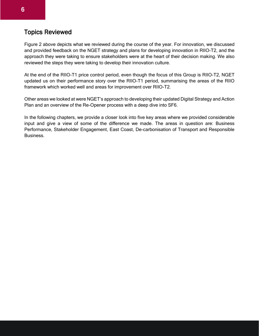#### Topics Reviewed

Figure 2 above depicts what we reviewed during the course of the year. For innovation, we discussed and provided feedback on the NGET strategy and plans for developing innovation in RIIO-T2, and the approach they were taking to ensure stakeholders were at the heart of their decision making. We also reviewed the steps they were taking to develop their innovation culture.

At the end of the RIIO-T1 price control period, even though the focus of this Group is RIIO-T2, NGET updated us on their performance story over the RIIO-T1 period, summarising the areas of the RIIO framework which worked well and areas for improvement over RIIO-T2.

Other areas we looked at were NGET's approach to developing their updated Digital Strategy and Action Plan and an overview of the Re-Opener process with a deep dive into SF6.

In the following chapters, we provide a closer look into five key areas where we provided considerable input and give a view of some of the difference we made. The areas in question are: Business Performance, Stakeholder Engagement, East Coast, De-carbonisation of Transport and Responsible Business.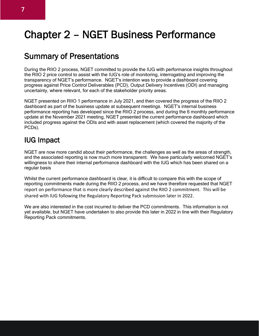## Chapter 2 – NGET Business Performance

### Summary of Presentations

During the RIIO 2 process, NGET committed to provide the IUG with performance insights throughout the RIIO 2 price control to assist with the IUG's role of monitoring, interrogating and improving the transparency of NGET's performance. NGET's intention was to provide a dashboard covering progress against Price Control Deliverables (PCD), Output Delivery Incentives (ODI) and managing uncertainty, where relevant, for each of the stakeholder priority areas.

NGET presented on RIIO 1 performance in July 2021, and then covered the progress of the RIIO 2 dashboard as part of the business update at subsequent meetings. NGET's internal business performance reporting has developed since the RIIO 2 process, and during the 6 monthly performance update at the November 2021 meeting, NGET presented the current performance dashboard which included progress against the ODIs and with asset replacement (which covered the majority of the PCDs).

#### IUG Impact

NGET are now more candid about their performance, the challenges as well as the areas of strength, and the associated reporting is now much more transparent. We have particularly welcomed NGET's willingness to share their internal performance dashboard with the IUG which has been shared on a regular basis

Whilst the current performance dashboard is clear, it is difficult to compare this with the scope of reporting commitments made during the RIIO 2 process, and we have therefore requested that NGET report on performance that is more clearly described against the RIIO 2 commitment. This will be shared with IUG following the Regulatory Reporting Pack submission later in 2022.

We are also interested in the cost incurred to deliver the PCD commitments. This information is not yet available, but NGET have undertaken to also provide this later in 2022 in line with their Regulatory Reporting Pack commitments.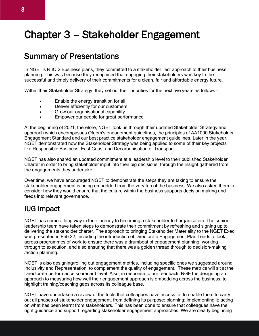## Chapter 3 – Stakeholder Engagement

### Summary of Presentations

In NGET's RIIO 2 Business plans, they committed to a stakeholder 'led' approach to their business planning. This was because they recognised that engaging their stakeholders was key to the successful and timely delivery of their commitments for a clean, fair and affordable energy future.

Within their Stakeholder Strategy, they set out their priorities for the next five years as follows:-

- Enable the energy transition for all
- Deliver efficiently for our customers
- Grow our organisational capability
- Empower our people for great performance

At the beginning of 2021, therefore, NGET took us through their updated Stakeholder Strategy and approach which encompasses Ofgem's engagement guidelines, the principles of AA1000 Stakeholder Engagement Standard and our best practice stakeholder engagement guidelines. Later in the year, NGET demonstrated how the Stakeholder Strategy was being applied to some of their key projects like Responsible Business, East Coast and Decarbonisation of Transport

NGET has also shared an updated commitment at a leadership level to their published Stakeholder Charter in order to bring stakeholder input into their big decisions, through the insight gathered from the engagements they undertake.

Over time, we have encouraged NGET to demonstrate the steps they are taking to ensure the stakeholder engagement is being embedded from the very top of the business. We also asked them to consider how they would ensure that the culture within the business supports decision making and feeds into relevant governance.

#### IUG Impact

NGET has come a long way in their journey to becoming a stakeholder-led organisation. The senior leadership team have taken steps to demonstrate their commitment by refreshing and signing up to delivering the stakeholder charter. The approach to bringing Stakeholder Materiality to the NGET Exec was presented in Feb 22, including the introduction of Directorate Engagement Plan Leads to look across programmes of work to ensure there was a drumbeat of engagement planning, working through to execution, and also ensuring that there was a golden thread through to decision-making /action planning.

NGET is also designing/rolling out engagement metrics, including specific ones we suggested around Inclusivity and Representation, to complement the quality of engagement. These metrics will sit at the Directorate performance scorecard level. Also, in response to our feedback, NGET is designing an approach to measuring how well their engagement approach is embedding across the business, to highlight training/coaching gaps across its colleague base.

NGET have undertaken a review of the tools that colleagues have access to, to enable them to carry out all phases of stakeholder engagement, from defining its purpose; planning; implementing it; acting on what has been learnt from stakeholders. This has been done to ensure that colleagues have the right guidance and support regarding stakeholder engagement approaches. We are clearly beginning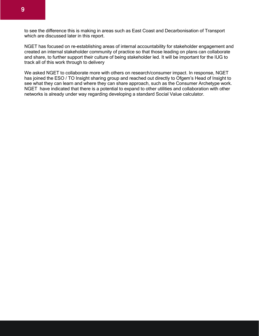to see the difference this is making in areas such as East Coast and Decarbonisation of Transport which are discussed later in this report.

NGET has focused on re-establishing areas of internal accountability for stakeholder engagement and created an internal stakeholder community of practice so that those leading on plans can collaborate and share, to further support their culture of being stakeholder led. It will be important for the IUG to track all of this work through to delivery

We asked NGET to collaborate more with others on research/consumer impact. In response, NGET has joined the ESO / TO Insight sharing group and reached out directly to Ofgem's Head of Insight to see what they can learn and where they can share approach, such as the Consumer Archetype work. NGET have indicated that there is a potential to expand to other utilities and collaboration with other networks is already under way regarding developing a standard Social Value calculator.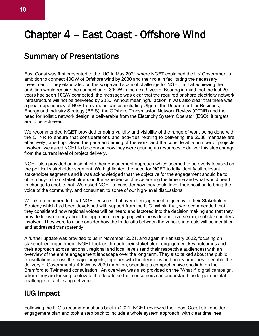## Chapter 4 – East Coast - Offshore Wind

### Summary of Presentations

East Coast was first presented to the IUG in May 2021 where NGET explained the UK Government's ambition to connect 40GW of Offshore wind by 2030 and their role in facilitating the necessary investment. They elaborated on the scope and scale of challenge for NGET in that achieving the ambition would require the connection of 30GW in the next 9 years. Bearing in mind that the last 20 years had seen 10GW connected, the message was clear that the required onshore electricity network infrastructure will not be delivered by 2030, without meaningful action. It was also clear that there was a great dependency of NGET on various parties including Ofgem, the Department for Business, Energy and Industry Strategy (BEIS), the Offshore Transmission Network Review (OTNR) and the need for holistic network design, a deliverable from the Electricity System Operator (ESO), if targets are to be achieved.

We recommended NGET provided ongoing validity and visibility of the range of work being done with the OTNR to ensure that considerations and activities relating to delivering the 2030 mandate are effectively joined up. Given the pace and timing of the work, and the considerable number of projects involved, we asked NGET to be clear on how they were gearing up resources to deliver this step change from the current level of project delivery.

NGET also provided an insight into their engagement approach which seemed to be overly focused on the political stakeholder segment. We highlighted the need for NGET to fully identify all relevant stakeholder segments and it was acknowledged that the objective for the engagement should be to obtain buy-in from stakeholders on the expedience of accelerating the timeline and what would need to change to enable that. We asked NGET to consider how they could lever their position to bring the voice of the community, and consumer, to some of our high-level discussions.

We also recommended that NGET ensured that overall engagement aligned with their Stakeholder Strategy which had been developed with support from the IUG. Within that, we recommended that they considered how regional voices will be heard and factored into the decision making and that they provide transparency about the approach to engaging with the wide and diverse range of stakeholders involved. They were to also consider how the trade-offs between the various interests will be identified and addressed transparently.

A further update was provided to us in November 2021, and again in February 2022, focusing on stakeholder engagement. NGET took us through their stakeholder engagement key outcomes and their approach across national, regional and local levels (and their respective audiences) with an overview of the entire engagement landscape over the long term. They also talked about the public consultations across the major projects, together with the decisions and policy timelines to enable the delivery of Governments' 40GW by 2030 ambition, shedding a comprehensive spotlight on the Bramford to Twinstead consultation. An overview was also provided on the 'What If' digital campaign, where they are looking to elevate the debate so that consumers can understand the larger societal challenges of achieving net zero.

#### IUG Impact

Following the IUG's recommendations back in 2021, NGET reviewed their East Coast stakeholder engagement plan and took a step back to include a whole system approach, with clear timelines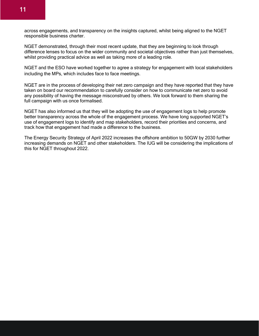

across engagements, and transparency on the insights captured, whilst being aligned to the NGET responsible business charter.

NGET demonstrated, through their most recent update, that they are beginning to look through difference lenses to focus on the wider community and societal objectives rather than just themselves, whilst providing practical advice as well as taking more of a leading role.

NGET and the ESO have worked together to agree a strategy for engagement with local stakeholders including the MPs, which includes face to face meetings.

NGET are in the process of developing their net zero campaign and they have reported that they have taken on board our recommendation to carefully consider on how to communicate net zero to avoid any possibility of having the message misconstrued by others. We look forward to them sharing the full campaign with us once formalised.

NGET has also informed us that they will be adopting the use of engagement logs to help promote better transparency across the whole of the engagement process. We have long supported NGET's use of engagement logs to identify and map stakeholders, record their priorities and concerns, and track how that engagement had made a difference to the business.

The Energy Security Strategy of April 2022 increases the offshore ambition to 50GW by 2030 further increasing demands on NGET and other stakeholders. The IUG will be considering the implications of this for NGET throughout 2022.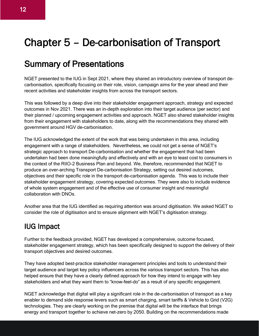## Chapter 5 – De-carbonisation of Transport

### Summary of Presentations

NGET presented to the IUG in Sept 2021, where they shared an introductory overview of transport decarbonisation, specifically focusing on their role, vision, campaign aims for the year ahead and their recent activities and stakeholder insights from across the transport sectors.

This was followed by a deep dive into their stakeholder engagement approach, strategy and expected outcomes in Nov 2021. There was an in-depth exploration into their target audience (per sector) and their planned / upcoming engagement activities and approach. NGET also shared stakeholder insights from their engagement with stakeholders to date, along with the recommendations they shared with government around HGV de-carbonisation.

The IUG acknowledged the extent of the work that was being undertaken in this area, including engagement with a range of stakeholders. Nevertheless, we could not get a sense of NGET's strategic approach to transport De-carbonisation and whether the engagement that had been undertaken had been done meaningfully and effectively and with an eye to least cost to consumers in the context of the RIIO-2 Business Plan and beyond. We, therefore, recommended that NGET to produce an over-arching Transport De-carbonisation Strategy, setting out desired outcomes, objectives and their specific role in the transport de-carbonisation agenda. This was to include their stakeholder engagement strategy, covering expected outcomes. They were also to include evidence of whole system engagement and of the effective use of consumer insight and meaningful collaboration with DNOs.

Another area that the IUG identified as requiring attention was around digitisation. We asked NGET to consider the role of digitisation and to ensure alignment with NGET's digitisation strategy.

### IUG Impact

Further to the feedback provided, NGET has developed a comprehensive, outcome focused, stakeholder engagement strategy, which has been specifically designed to support the delivery of their transport objectives and desired outcomes.

They have adopted best-practice stakeholder management principles and tools to understand their target audience and target key policy influencers across the various transport sectors. This has also helped ensure that they have a clearly defined approach for how they intend to engage with key stakeholders and what they want them to "know-feel-do" as a result of any specific engagement.

NGET acknowledge that digital will play a significant role in the de-carbonisation of transport as a key enabler to demand side response levers such as smart charging, smart tariffs & Vehicle to Grid (V2G) technologies. They are clearly working on the premise that digital will be the interface that brings energy and transport together to achieve net-zero by 2050. Building on the recommendations made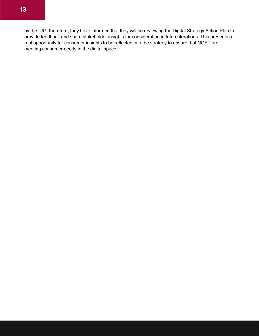by the IUG, therefore, they have informed that they will be reviewing the Digital Strategy Action Plan to provide feedback and share stakeholder insights for consideration in future iterations. This presents a real opportunity for consumer insights to be reflected into the strategy to ensure that NGET are meeting consumer needs in the digital space.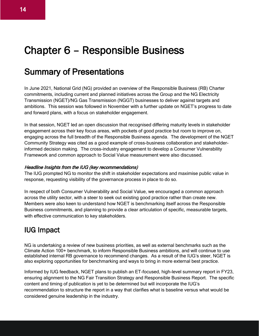## Chapter 6 – Responsible Business

### Summary of Presentations

In June 2021, National Grid (NG) provided an overview of the Responsible Business (RB) Charter commitments, including current and planned initiatives across the Group and the NG Electricity Transmission (NGET)/NG Gas Transmission (NGGT) businesses to deliver against targets and ambitions. This session was followed in November with a further update on NGET's progress to date and forward plans, with a focus on stakeholder engagement.

In that session, NGET led an open discussion that recognised differing maturity levels in stakeholder engagement across their key focus areas, with pockets of good practice but room to improve on, engaging across the full breadth of the Responsible Business agenda. The development of the NGET Community Strategy was cited as a good example of cross-business collaboration and stakeholderinformed decision making. The cross-industry engagement to develop a Consumer Vulnerability Framework and common approach to Social Value measurement were also discussed.

#### Headline Insights from the IUG (key recommendations)

The IUG prompted NG to monitor the shift in stakeholder expectations and maximise public value in response, requesting visibility of the governance process in place to do so.

In respect of both Consumer Vulnerability and Social Value, we encouraged a common approach across the utility sector, with a steer to seek out existing good practice rather than create new. Members were also keen to understand how NGET is benchmarking itself across the Responsible Business commitments, and planning to provide a clear articulation of specific, measurable targets, with effective communication to key stakeholders.

### IUG Impact

NG is undertaking a review of new business priorities, as well as external benchmarks such as the Climate Action 100+ benchmark, to inform Responsible Business ambitions, and will continue to use established internal RB governance to recommend changes. As a result of the IUG's steer, NGET is also exploring opportunities for benchmarking and ways to bring in more external best practice.

Informed by IUG feedback, NGET plans to publish an ET-focused, high-level summary report in FY23, ensuring alignment to the NG Fair Transition Strategy and Responsible Business Report. The specific content and timing of publication is yet to be determined but will incorporate the IUG's recommendation to structure the report in a way that clarifies what is baseline versus what would be considered genuine leadership in the industry.